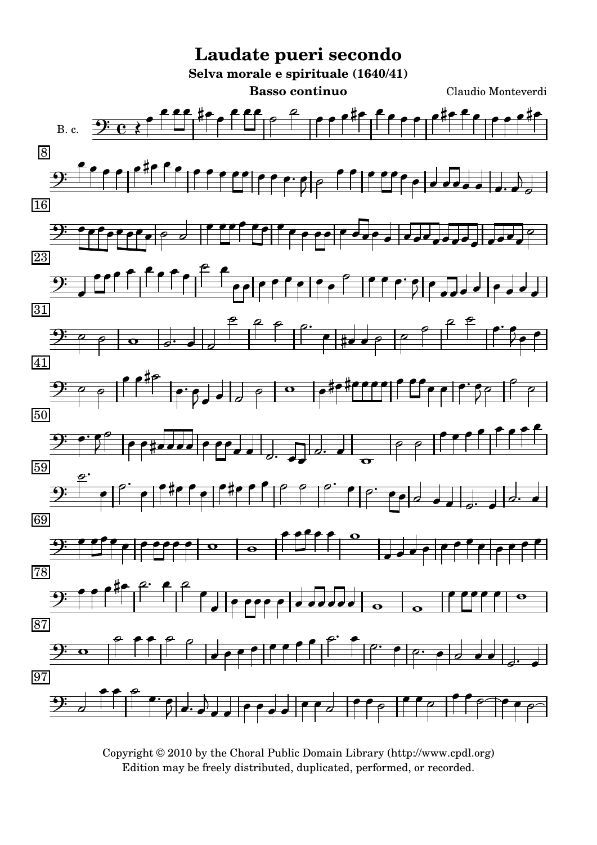

Copyright © 2010 by the Choral Public Domain Library (http://www.cpdl.org) Edition may be freely distributed, duplicated, performed, or recorded.